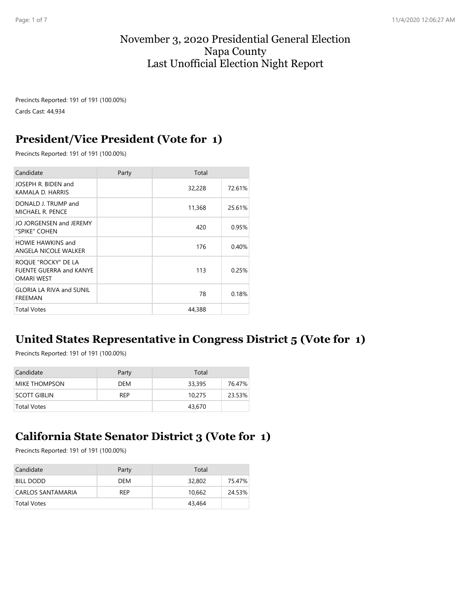#### November 3, 2020 Presidential General Election Napa County Last Unofficial Election Night Report

Precincts Reported: 191 of 191 (100.00%) Cards Cast: 44,934

#### **President/Vice President (Vote for 1)**

Precincts Reported: 191 of 191 (100.00%)

| Candidate                                                                  | Party | Total  |        |
|----------------------------------------------------------------------------|-------|--------|--------|
| JOSEPH R. BIDEN and<br>KAMALA D. HARRIS                                    |       | 32,228 | 72.61% |
| DONALD J. TRUMP and<br>MICHAEL R. PENCE                                    |       | 11,368 | 25.61% |
| JO JORGENSEN and JEREMY<br>"SPIKE" COHEN                                   |       | 420    | 0.95%  |
| <b>HOWIE HAWKINS and</b><br>ANGELA NICOLE WALKER                           |       | 176    | 0.40%  |
| ROQUE "ROCKY" DE LA<br><b>FUENTE GUERRA and KANYE</b><br><b>OMARI WEST</b> |       | 113    | 0.25%  |
| <b>GLORIA LA RIVA and SUNIL</b><br>FREEMAN                                 |       | 78     | 0.18%  |
| <b>Total Votes</b>                                                         |       | 44,388 |        |

#### **United States Representative in Congress District 5 (Vote for 1)**

Precincts Reported: 191 of 191 (100.00%)

| Candidate            | Party      | Total  |        |
|----------------------|------------|--------|--------|
| <b>MIKE THOMPSON</b> | DEM        | 33,395 | 76.47% |
| <b>SCOTT GIBLIN</b>  | <b>RFP</b> | 10,275 | 23.53% |
| Total Votes          |            | 43,670 |        |

#### **California State Senator District 3 (Vote for 1)**

Precincts Reported: 191 of 191 (100.00%)

| Candidate         | Party      | Total  |        |
|-------------------|------------|--------|--------|
| <b>BILL DODD</b>  | <b>DFM</b> | 32,802 | 75.47% |
| CARLOS SANTAMARIA | REP        | 10.662 | 24.53% |
| Total Votes       |            | 43,464 |        |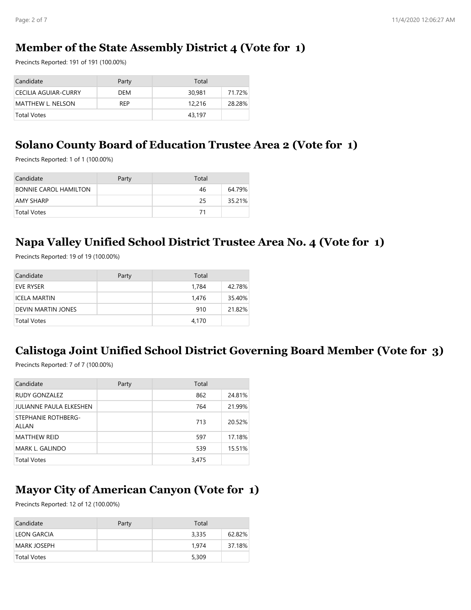#### **Member of the State Assembly District 4 (Vote for 1)**

Precincts Reported: 191 of 191 (100.00%)

| Candidate                   | Party      | Total  |        |
|-----------------------------|------------|--------|--------|
| <b>CECILIA AGUIAR-CURRY</b> | DEM        | 30,981 | 71.72% |
| <b>MATTHEW L. NELSON</b>    | <b>RFP</b> | 12,216 | 28.28% |
| Total Votes                 |            | 43,197 |        |

#### **Solano County Board of Education Trustee Area 2 (Vote for 1)**

Precincts Reported: 1 of 1 (100.00%)

| Candidate                    | Party | Total |        |
|------------------------------|-------|-------|--------|
| <b>BONNIE CAROL HAMILTON</b> |       | 46    | 64.79% |
| <b>AMY SHARP</b>             |       | 25    | 35.21% |
| <b>Total Votes</b>           |       | 71    |        |

#### **Napa Valley Unified School District Trustee Area No. 4 (Vote for 1)**

Precincts Reported: 19 of 19 (100.00%)

| Candidate           | Party | Total |        |
|---------------------|-------|-------|--------|
| <b>EVE RYSER</b>    |       | 1,784 | 42.78% |
| <b>ICELA MARTIN</b> |       | 1.476 | 35.40% |
| DEVIN MARTIN JONES  |       | 910   | 21.82% |
| Total Votes         |       | 4,170 |        |

#### **Calistoga Joint Unified School District Governing Board Member (Vote for 3)**

Precincts Reported: 7 of 7 (100.00%)

| Candidate                    | Party | Total |        |
|------------------------------|-------|-------|--------|
| RUDY GONZALEZ                |       | 862   | 24.81% |
| JULIANNE PAULA ELKESHEN      |       | 764   | 21.99% |
| STEPHANIE ROTHBERG-<br>ALLAN |       | 713   | 20.52% |
| <b>MATTHEW REID</b>          |       | 597   | 17.18% |
| MARK L. GALINDO              |       | 539   | 15.51% |
| <b>Total Votes</b>           |       | 3,475 |        |

# **Mayor City of American Canyon (Vote for 1)**

Precincts Reported: 12 of 12 (100.00%)

| Candidate          | Party | Total |        |
|--------------------|-------|-------|--------|
| <b>LEON GARCIA</b> |       | 3,335 | 62.82% |
| <b>MARK JOSEPH</b> |       | 1.974 | 37.18% |
| Total Votes        |       | 5,309 |        |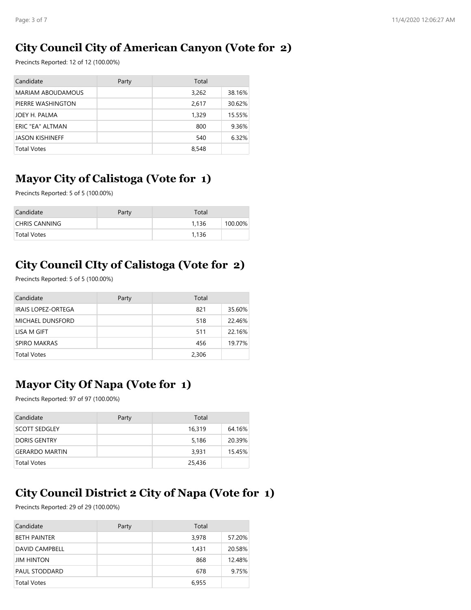## **City Council City of American Canyon (Vote for 2)**

Precincts Reported: 12 of 12 (100.00%)

| Candidate                | Party | Total |        |
|--------------------------|-------|-------|--------|
| <b>MARIAM ABOUDAMOUS</b> |       | 3,262 | 38.16% |
| PIERRE WASHINGTON        |       | 2.617 | 30.62% |
| JOEY H. PALMA            |       | 1,329 | 15.55% |
| ERIC "EA" ALTMAN         |       | 800   | 9.36%  |
| <b>JASON KISHINEFF</b>   |       | 540   | 6.32%  |
| <b>Total Votes</b>       |       | 8,548 |        |

## **Mayor City of Calistoga (Vote for 1)**

Precincts Reported: 5 of 5 (100.00%)

| Candidate            | Party | Total |         |
|----------------------|-------|-------|---------|
| <b>CHRIS CANNING</b> |       | 1.136 | 100.00% |
| Total Votes          |       | 1.136 |         |

## **City Council CIty of Calistoga (Vote for 2)**

Precincts Reported: 5 of 5 (100.00%)

| Candidate                 | Party | Total |        |
|---------------------------|-------|-------|--------|
| <b>IRAIS LOPEZ-ORTEGA</b> |       | 821   | 35.60% |
| <b>MICHAEL DUNSFORD</b>   |       | 518   | 22.46% |
| LISA M GIFT               |       | 511   | 22.16% |
| <b>SPIRO MAKRAS</b>       |       | 456   | 19.77% |
| <b>Total Votes</b>        |       | 2,306 |        |

# **Mayor City Of Napa (Vote for 1)**

Precincts Reported: 97 of 97 (100.00%)

| Candidate             | Party | Total  |        |
|-----------------------|-------|--------|--------|
| SCOTT SEDGLEY         |       | 16,319 | 64.16% |
| <b>DORIS GENTRY</b>   |       | 5,186  | 20.39% |
| <b>GERARDO MARTIN</b> |       | 3.931  | 15.45% |
| <b>Total Votes</b>    |       | 25,436 |        |

## **City Council District 2 City of Napa (Vote for 1)**

Precincts Reported: 29 of 29 (100.00%)

| Candidate             | Party | Total |        |
|-----------------------|-------|-------|--------|
| <b>BETH PAINTER</b>   |       | 3,978 | 57.20% |
| <b>DAVID CAMPBELL</b> |       | 1.431 | 20.58% |
| <b>JIM HINTON</b>     |       | 868   | 12.48% |
| <b>PAUL STODDARD</b>  |       | 678   | 9.75%  |
| <b>Total Votes</b>    |       | 6,955 |        |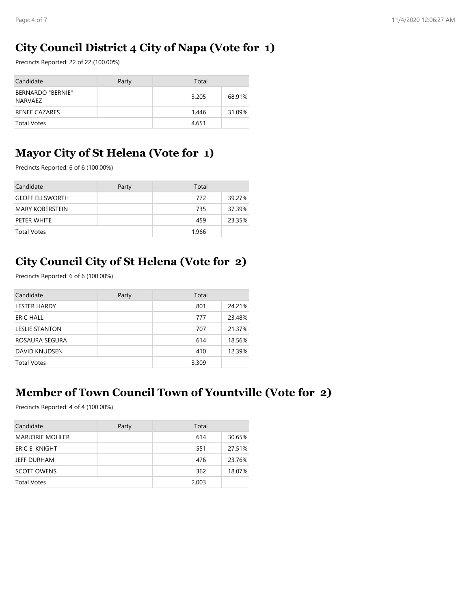## **City Council District 4 City of Napa (Vote for 1)**

Precincts Reported: 22 of 22 (100.00%)

| Candidate                           | Party | Total |        |
|-------------------------------------|-------|-------|--------|
| <b>BERNARDO "BERNIE"</b><br>NARVAEZ |       | 3,205 | 68.91% |
| <b>RENEE CAZARES</b>                |       | 1.446 | 31.09% |
| <b>Total Votes</b>                  |       | 4,651 |        |

## **Mayor City of St Helena (Vote for 1)**

Precincts Reported: 6 of 6 (100.00%)

| Candidate              | Party | Total |        |
|------------------------|-------|-------|--------|
| <b>GEOFF ELLSWORTH</b> |       | 772   | 39.27% |
| <b>MARY KOBERSTEIN</b> |       | 735   | 37.39% |
| PETER WHITE            |       | 459   | 23.35% |
| <b>Total Votes</b>     |       | 1,966 |        |

## **City Council City of St Helena (Vote for 2)**

Precincts Reported: 6 of 6 (100.00%)

| Candidate             | Party | Total |        |
|-----------------------|-------|-------|--------|
| <b>LESTER HARDY</b>   |       | 801   | 24.21% |
| ERIC HALL             |       | 777   | 23.48% |
| <b>LESLIE STANTON</b> |       | 707   | 21.37% |
| ROSAURA SEGURA        |       | 614   | 18.56% |
| <b>DAVID KNUDSEN</b>  |       | 410   | 12.39% |
| <b>Total Votes</b>    |       | 3,309 |        |

#### **Member of Town Council Town of Yountville (Vote for 2)**

Precincts Reported: 4 of 4 (100.00%)

| Candidate              | Party | Total |        |
|------------------------|-------|-------|--------|
| <b>MARJORIE MOHLER</b> |       | 614   | 30.65% |
| <b>ERIC E. KNIGHT</b>  |       | 551   | 27.51% |
| JEFF DURHAM            |       | 476   | 23.76% |
| <b>SCOTT OWENS</b>     |       | 362   | 18.07% |
| <b>Total Votes</b>     |       | 2,003 |        |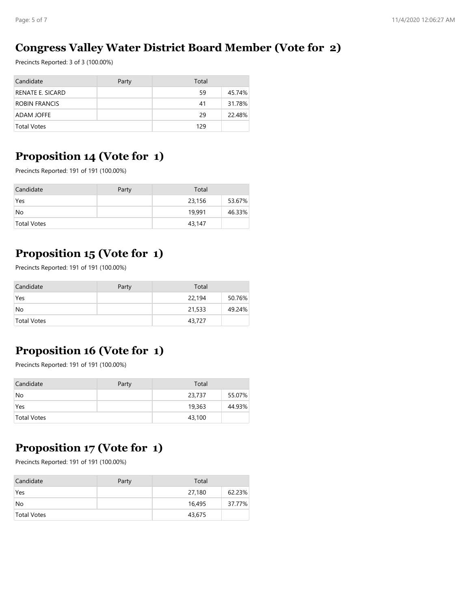#### **Congress Valley Water District Board Member (Vote for 2)**

Precincts Reported: 3 of 3 (100.00%)

| Candidate            | Party | Total |        |
|----------------------|-------|-------|--------|
| RENATE E. SICARD     |       | 59    | 45.74% |
| <b>ROBIN FRANCIS</b> |       | 41    | 31.78% |
| <b>ADAM JOFFE</b>    |       | 29    | 22.48% |
| <b>Total Votes</b>   |       | 129   |        |

#### **Proposition 14 (Vote for 1)**

Precincts Reported: 191 of 191 (100.00%)

| Candidate   | Party | Total  |        |
|-------------|-------|--------|--------|
| Yes         |       | 23,156 | 53.67% |
| No          |       | 19,991 | 46.33% |
| Total Votes |       | 43,147 |        |

# **Proposition 15 (Vote for 1)**

Precincts Reported: 191 of 191 (100.00%)

| Candidate          | Party | Total  |        |
|--------------------|-------|--------|--------|
| Yes                |       | 22,194 | 50.76% |
| No                 |       | 21,533 | 49.24% |
| <b>Total Votes</b> |       | 43,727 |        |

# **Proposition 16 (Vote for 1)**

Precincts Reported: 191 of 191 (100.00%)

| Candidate          | Party | Total  |        |
|--------------------|-------|--------|--------|
| <b>No</b>          |       | 23,737 | 55.07% |
| Yes                |       | 19,363 | 44.93% |
| <b>Total Votes</b> |       | 43,100 |        |

## **Proposition 17 (Vote for 1)**

Precincts Reported: 191 of 191 (100.00%)

| Candidate   | Party | Total  |        |
|-------------|-------|--------|--------|
| Yes         |       | 27,180 | 62.23% |
| <b>No</b>   |       | 16,495 | 37.77% |
| Total Votes |       | 43,675 |        |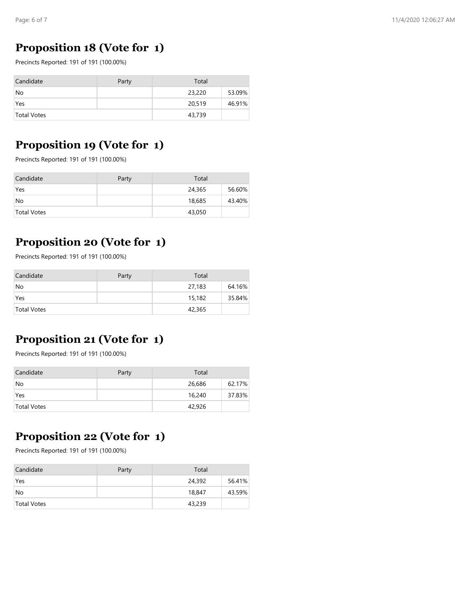## **Proposition 18 (Vote for 1)**

Precincts Reported: 191 of 191 (100.00%)

| Candidate          | Party | Total  |        |
|--------------------|-------|--------|--------|
| No                 |       | 23,220 | 53.09% |
| Yes                |       | 20,519 | 46.91% |
| <b>Total Votes</b> |       | 43,739 |        |

#### **Proposition 19 (Vote for 1)**

Precincts Reported: 191 of 191 (100.00%)

| Candidate   | Party | Total  |        |
|-------------|-------|--------|--------|
| Yes         |       | 24,365 | 56.60% |
| No          |       | 18,685 | 43.40% |
| Total Votes |       | 43,050 |        |

# **Proposition 20 (Vote for 1)**

Precincts Reported: 191 of 191 (100.00%)

| Candidate   | Party | Total  |        |
|-------------|-------|--------|--------|
| No          |       | 27,183 | 64.16% |
| Yes         |       | 15,182 | 35.84% |
| Total Votes |       | 42,365 |        |

## **Proposition 21 (Vote for 1)**

Precincts Reported: 191 of 191 (100.00%)

| Candidate   | Party | Total  |        |
|-------------|-------|--------|--------|
| No          |       | 26,686 | 62.17% |
| Yes         |       | 16,240 | 37.83% |
| Total Votes |       | 42,926 |        |

#### **Proposition 22 (Vote for 1)**

Precincts Reported: 191 of 191 (100.00%)

| Candidate          | Party | Total  |        |
|--------------------|-------|--------|--------|
| Yes                |       | 24,392 | 56.41% |
| No                 |       | 18,847 | 43.59% |
| <b>Total Votes</b> |       | 43,239 |        |